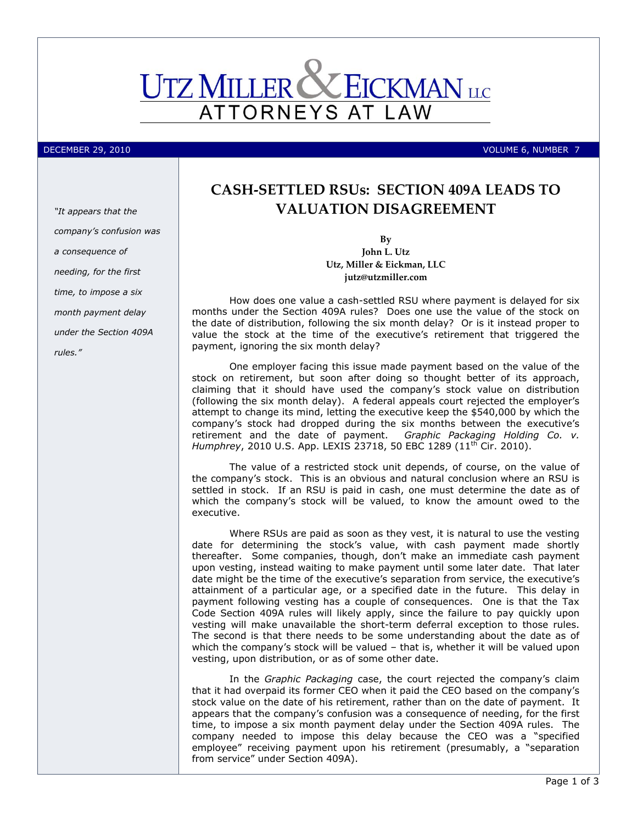

DECEMBER 29, 2010 VOLUME 6, NUMBER 7

## **CASH-SETTLED RSUs: SECTION 409A LEADS TO VALUATION DISAGREEMENT**

**By John L. Utz Utz, Miller & Eickman, LLC jutz@utzmiller.com**

How does one value a cash-settled RSU where payment is delayed for six months under the Section 409A rules? Does one use the value of the stock on the date of distribution, following the six month delay? Or is it instead proper to value the stock at the time of the executive's retirement that triggered the payment, ignoring the six month delay?

One employer facing this issue made payment based on the value of the stock on retirement, but soon after doing so thought better of its approach, claiming that it should have used the company's stock value on distribution (following the six month delay). A federal appeals court rejected the employer's attempt to change its mind, letting the executive keep the \$540,000 by which the company's stock had dropped during the six months between the executive's retirement and the date of payment. *Graphic Packaging Holding Co. v. Humphrey*, 2010 U.S. App. LEXIS 23718, 50 EBC 1289 (11th Cir. 2010).

The value of a restricted stock unit depends, of course, on the value of the company's stock. This is an obvious and natural conclusion where an RSU is settled in stock. If an RSU is paid in cash, one must determine the date as of which the company's stock will be valued, to know the amount owed to the executive.

Where RSUs are paid as soon as they vest, it is natural to use the vesting date for determining the stock's value, with cash payment made shortly thereafter. Some companies, though, don't make an immediate cash payment upon vesting, instead waiting to make payment until some later date. That later date might be the time of the executive's separation from service, the executive's attainment of a particular age, or a specified date in the future. This delay in payment following vesting has a couple of consequences. One is that the Tax Code Section 409A rules will likely apply, since the failure to pay quickly upon vesting will make unavailable the short-term deferral exception to those rules. The second is that there needs to be some understanding about the date as of which the company's stock will be valued – that is, whether it will be valued upon vesting, upon distribution, or as of some other date.

In the *Graphic Packaging* case, the court rejected the company's claim that it had overpaid its former CEO when it paid the CEO based on the company's stock value on the date of his retirement, rather than on the date of payment. It appears that the company's confusion was a consequence of needing, for the first time, to impose a six month payment delay under the Section 409A rules. The company needed to impose this delay because the CEO was a "specified employee" receiving payment upon his retirement (presumably, a "separation from service" under Section 409A).

*"It appears that the company's confusion was a consequence of needing, for the first time, to impose a six month payment delay under the Section 409A rules."*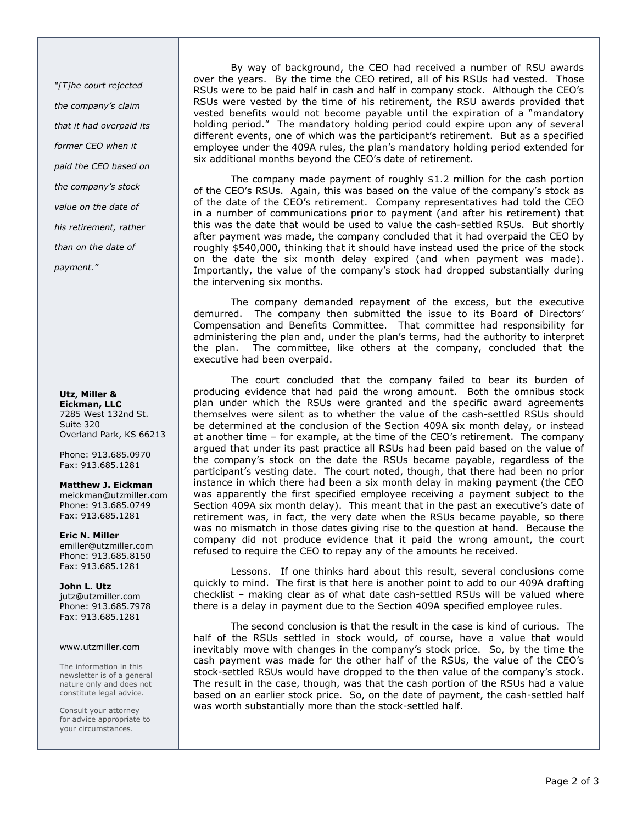*"[T]he court rejected the company's claim that it had overpaid its former CEO when it paid the CEO based on the company's stock value on the date of his retirement, rather than on the date of payment."*

## **Utz, Miller & Eickman, LLC** 7285 West 132nd St. Suite 320 Overland Park, KS 66213

Phone: 913.685.0970 Fax: 913.685.1281

**Matthew J. Eickman** meickman@utzmiller.com Phone: 913.685.0749 Fax: 913.685.1281

**Eric N. Miller** emiller@utzmiller.com Phone: 913.685.8150 Fax: 913.685.1281

**John L. Utz**  jutz@utzmiller.com Phone: 913.685.7978 Fax: 913.685.1281

## www.utzmiller.com

The information in this newsletter is of a general nature only and does not constitute legal advice.

Consult your attorney for advice appropriate to your circumstances.

By way of background, the CEO had received a number of RSU awards over the years. By the time the CEO retired, all of his RSUs had vested. Those RSUs were to be paid half in cash and half in company stock. Although the CEO's RSUs were vested by the time of his retirement, the RSU awards provided that vested benefits would not become payable until the expiration of a "mandatory holding period." The mandatory holding period could expire upon any of several different events, one of which was the participant's retirement. But as a specified employee under the 409A rules, the plan's mandatory holding period extended for six additional months beyond the CEO's date of retirement.

The company made payment of roughly \$1.2 million for the cash portion of the CEO's RSUs. Again, this was based on the value of the company's stock as of the date of the CEO's retirement. Company representatives had told the CEO in a number of communications prior to payment (and after his retirement) that this was the date that would be used to value the cash-settled RSUs. But shortly after payment was made, the company concluded that it had overpaid the CEO by roughly \$540,000, thinking that it should have instead used the price of the stock on the date the six month delay expired (and when payment was made). Importantly, the value of the company's stock had dropped substantially during the intervening six months.

The company demanded repayment of the excess, but the executive demurred. The company then submitted the issue to its Board of Directors' Compensation and Benefits Committee. That committee had responsibility for administering the plan and, under the plan's terms, had the authority to interpret the plan. The committee, like others at the company, concluded that the executive had been overpaid.

The court concluded that the company failed to bear its burden of producing evidence that had paid the wrong amount. Both the omnibus stock plan under which the RSUs were granted and the specific award agreements themselves were silent as to whether the value of the cash-settled RSUs should be determined at the conclusion of the Section 409A six month delay, or instead at another time – for example, at the time of the CEO's retirement. The company argued that under its past practice all RSUs had been paid based on the value of the company's stock on the date the RSUs became payable, regardless of the participant's vesting date. The court noted, though, that there had been no prior instance in which there had been a six month delay in making payment (the CEO was apparently the first specified employee receiving a payment subject to the Section 409A six month delay). This meant that in the past an executive's date of retirement was, in fact, the very date when the RSUs became payable, so there was no mismatch in those dates giving rise to the question at hand. Because the company did not produce evidence that it paid the wrong amount, the court refused to require the CEO to repay any of the amounts he received.

Lessons. If one thinks hard about this result, several conclusions come quickly to mind. The first is that here is another point to add to our 409A drafting checklist – making clear as of what date cash-settled RSUs will be valued where there is a delay in payment due to the Section 409A specified employee rules.

The second conclusion is that the result in the case is kind of curious. The half of the RSUs settled in stock would, of course, have a value that would inevitably move with changes in the company's stock price. So, by the time the cash payment was made for the other half of the RSUs, the value of the CEO's stock-settled RSUs would have dropped to the then value of the company's stock. The result in the case, though, was that the cash portion of the RSUs had a value based on an earlier stock price. So, on the date of payment, the cash-settled half was worth substantially more than the stock-settled half.